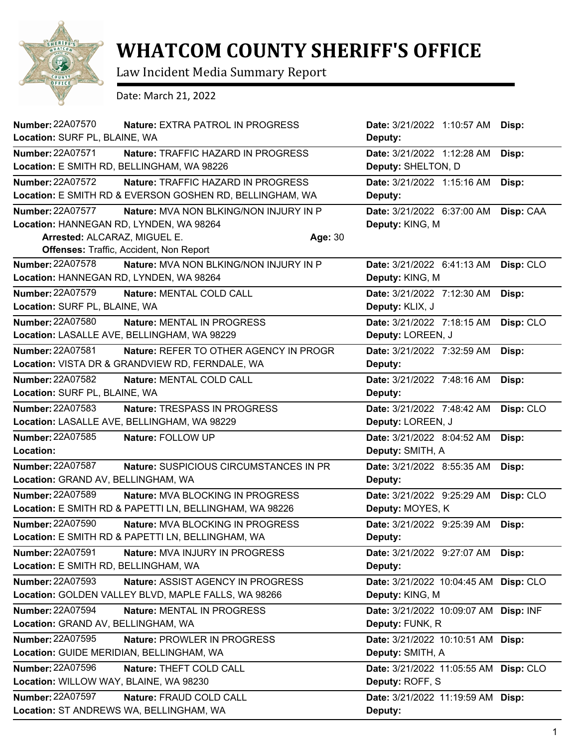

## **WHATCOM COUNTY SHERIFF'S OFFICE**

Law Incident Media Summary Report

Date: March 21, 2022

| Number: 22A07570<br><b>Nature: EXTRA PATROL IN PROGRESS</b>       | Date: 3/21/2022 1:10:57 AM            | Disp:     |
|-------------------------------------------------------------------|---------------------------------------|-----------|
| Location: SURF PL, BLAINE, WA                                     | Deputy:                               |           |
| <b>Number: 22A07571</b><br>Nature: TRAFFIC HAZARD IN PROGRESS     | Date: 3/21/2022 1:12:28 AM            | Disp:     |
| Location: E SMITH RD, BELLINGHAM, WA 98226                        | Deputy: SHELTON, D                    |           |
| <b>Number: 22A07572</b><br>Nature: TRAFFIC HAZARD IN PROGRESS     | Date: 3/21/2022 1:15:16 AM            | Disp:     |
| Location: E SMITH RD & EVERSON GOSHEN RD, BELLINGHAM, WA          | Deputy:                               |           |
| <b>Number: 22A07577</b><br>Nature: MVA NON BLKING/NON INJURY IN P | Date: 3/21/2022 6:37:00 AM            | Disp: CAA |
| Location: HANNEGAN RD, LYNDEN, WA 98264                           | Deputy: KING, M                       |           |
| Arrested: ALCARAZ, MIGUEL E.<br>Age: 30                           |                                       |           |
| <b>Offenses: Traffic, Accident, Non Report</b>                    |                                       |           |
| <b>Number: 22A07578</b><br>Nature: MVA NON BLKING/NON INJURY IN P | Date: 3/21/2022 6:41:13 AM            | Disp: CLO |
| Location: HANNEGAN RD, LYNDEN, WA 98264                           | Deputy: KING, M                       |           |
| <b>Number: 22A07579</b><br>Nature: MENTAL COLD CALL               | Date: 3/21/2022 7:12:30 AM            | Disp:     |
| Location: SURF PL, BLAINE, WA                                     | Deputy: KLIX, J                       |           |
| <b>Number: 22A07580</b><br>Nature: MENTAL IN PROGRESS             | Date: 3/21/2022 7:18:15 AM            | Disp: CLO |
| Location: LASALLE AVE, BELLINGHAM, WA 98229                       | Deputy: LOREEN, J                     |           |
| <b>Number: 22A07581</b><br>Nature: REFER TO OTHER AGENCY IN PROGR | Date: 3/21/2022 7:32:59 AM            | Disp:     |
| Location: VISTA DR & GRANDVIEW RD, FERNDALE, WA                   | Deputy:                               |           |
| <b>Number: 22A07582</b><br>Nature: MENTAL COLD CALL               | Date: 3/21/2022 7:48:16 AM            | Disp:     |
| Location: SURF PL, BLAINE, WA                                     | Deputy:                               |           |
| Number: 22A07583<br>Nature: TRESPASS IN PROGRESS                  | Date: 3/21/2022 7:48:42 AM            | Disp: CLO |
| Location: LASALLE AVE, BELLINGHAM, WA 98229                       | Deputy: LOREEN, J                     |           |
| Number: 22A07585<br>Nature: FOLLOW UP                             | Date: 3/21/2022 8:04:52 AM            | Disp:     |
| Location:                                                         | Deputy: SMITH, A                      |           |
| Number: 22A07587<br>Nature: SUSPICIOUS CIRCUMSTANCES IN PR        | Date: 3/21/2022 8:55:35 AM            | Disp:     |
| Location: GRAND AV, BELLINGHAM, WA                                | Deputy:                               |           |
| Number: 22A07589<br>Nature: MVA BLOCKING IN PROGRESS              | Date: 3/21/2022 9:25:29 AM            | Disp: CLO |
| Location: E SMITH RD & PAPETTI LN, BELLINGHAM, WA 98226           | Deputy: MOYES, K                      |           |
| <b>Number: 22A07590</b><br>Nature: MVA BLOCKING IN PROGRESS       | Date: 3/21/2022 9:25:39 AM            | Disp:     |
| <b>Location:</b> E SMITH RD & PAPETTI LN, BELLINGHAM, WA          | Deputy:                               |           |
| <b>Number: 22A07591</b><br><b>Nature: MVA INJURY IN PROGRESS</b>  | Date: 3/21/2022 9:27:07 AM Disp:      |           |
| Location: E SMITH RD, BELLINGHAM, WA                              | Deputy:                               |           |
| <b>Number: 22A07593</b><br>Nature: ASSIST AGENCY IN PROGRESS      | Date: 3/21/2022 10:04:45 AM Disp: CLO |           |
| Location: GOLDEN VALLEY BLVD, MAPLE FALLS, WA 98266               | Deputy: KING, M                       |           |
| <b>Number: 22A07594</b><br><b>Nature: MENTAL IN PROGRESS</b>      | Date: 3/21/2022 10:09:07 AM Disp: INF |           |
| Location: GRAND AV, BELLINGHAM, WA                                | Deputy: FUNK, R                       |           |
| Number: 22A07595<br>Nature: PROWLER IN PROGRESS                   | Date: 3/21/2022 10:10:51 AM Disp:     |           |
| Location: GUIDE MERIDIAN, BELLINGHAM, WA                          | Deputy: SMITH, A                      |           |
| <b>Number: 22A07596</b><br>Nature: THEFT COLD CALL                | Date: 3/21/2022 11:05:55 AM Disp: CLO |           |
| Location: WILLOW WAY, BLAINE, WA 98230                            | Deputy: ROFF, S                       |           |
| Number: 22A07597<br>Nature: FRAUD COLD CALL                       | Date: 3/21/2022 11:19:59 AM Disp:     |           |
| Location: ST ANDREWS WA, BELLINGHAM, WA                           | Deputy:                               |           |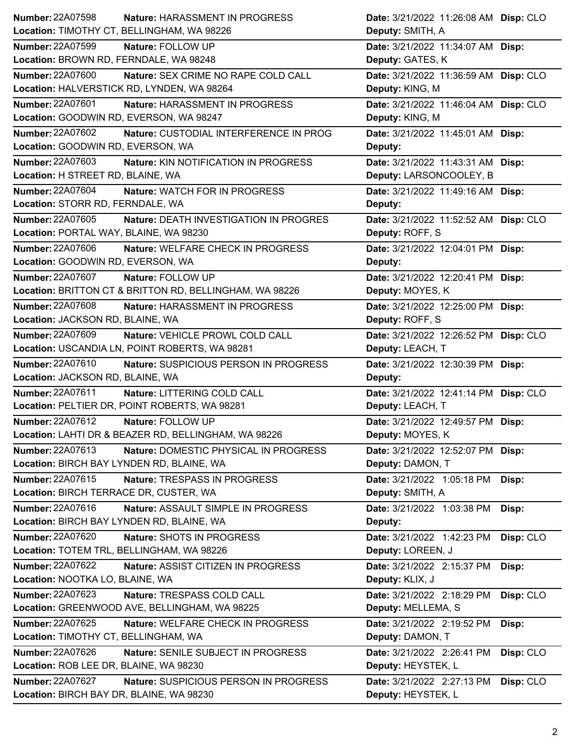| <b>Number: 22A07598</b>                   | Nature: HARASSMENT IN PROGRESS                          | Date: 3/21/2022 11:26:08 AM Disp: CLO |           |
|-------------------------------------------|---------------------------------------------------------|---------------------------------------|-----------|
|                                           | Location: TIMOTHY CT, BELLINGHAM, WA 98226              | Deputy: SMITH, A                      |           |
| <b>Number: 22A07599</b>                   | Nature: FOLLOW UP                                       | Date: 3/21/2022 11:34:07 AM Disp:     |           |
| Location: BROWN RD, FERNDALE, WA 98248    |                                                         | Deputy: GATES, K                      |           |
| <b>Number: 22A07600</b>                   | Nature: SEX CRIME NO RAPE COLD CALL                     | Date: 3/21/2022 11:36:59 AM Disp: CLO |           |
|                                           | Location: HALVERSTICK RD, LYNDEN, WA 98264              | Deputy: KING, M                       |           |
| <b>Number: 22A07601</b>                   | Nature: HARASSMENT IN PROGRESS                          | Date: 3/21/2022 11:46:04 AM Disp: CLO |           |
| Location: GOODWIN RD, EVERSON, WA 98247   |                                                         | Deputy: KING, M                       |           |
| <b>Number: 22A07602</b>                   | Nature: CUSTODIAL INTERFERENCE IN PROG                  | Date: 3/21/2022 11:45:01 AM Disp:     |           |
| Location: GOODWIN RD, EVERSON, WA         |                                                         | Deputy:                               |           |
| Number: 22A07603                          | Nature: KIN NOTIFICATION IN PROGRESS                    | Date: 3/21/2022 11:43:31 AM Disp:     |           |
| Location: H STREET RD, BLAINE, WA         |                                                         | Deputy: LARSONCOOLEY, B               |           |
| Number: 22A07604                          | Nature: WATCH FOR IN PROGRESS                           | Date: 3/21/2022 11:49:16 AM Disp:     |           |
| Location: STORR RD, FERNDALE, WA          |                                                         | Deputy:                               |           |
| Number: 22A07605                          | <b>Nature: DEATH INVESTIGATION IN PROGRES</b>           | Date: 3/21/2022 11:52:52 AM Disp: CLO |           |
| Location: PORTAL WAY, BLAINE, WA 98230    |                                                         | Deputy: ROFF, S                       |           |
| <b>Number: 22A07606</b>                   | Nature: WELFARE CHECK IN PROGRESS                       | Date: 3/21/2022 12:04:01 PM Disp:     |           |
| Location: GOODWIN RD, EVERSON, WA         |                                                         | Deputy:                               |           |
| Number: 22A07607                          | Nature: FOLLOW UP                                       | Date: 3/21/2022 12:20:41 PM Disp:     |           |
|                                           | Location: BRITTON CT & BRITTON RD, BELLINGHAM, WA 98226 | Deputy: MOYES, K                      |           |
| <b>Number: 22A07608</b>                   | Nature: HARASSMENT IN PROGRESS                          | Date: 3/21/2022 12:25:00 PM Disp:     |           |
| Location: JACKSON RD, BLAINE, WA          |                                                         | Deputy: ROFF, S                       |           |
| Number: 22A07609                          | Nature: VEHICLE PROWL COLD CALL                         | Date: 3/21/2022 12:26:52 PM Disp: CLO |           |
|                                           | Location: USCANDIA LN, POINT ROBERTS, WA 98281          | Deputy: LEACH, T                      |           |
|                                           |                                                         |                                       |           |
| Number: 22A07610                          | Nature: SUSPICIOUS PERSON IN PROGRESS                   | Date: 3/21/2022 12:30:39 PM Disp:     |           |
| Location: JACKSON RD, BLAINE, WA          |                                                         | Deputy:                               |           |
| Number: 22A07611                          | Nature: LITTERING COLD CALL                             | Date: 3/21/2022 12:41:14 PM Disp: CLO |           |
|                                           | Location: PELTIER DR, POINT ROBERTS, WA 98281           | Deputy: LEACH, T                      |           |
| Number: 22A07612                          | Nature: FOLLOW UP                                       | Date: 3/21/2022 12:49:57 PM Disp:     |           |
|                                           | Location: LAHTI DR & BEAZER RD, BELLINGHAM, WA 98226    | Deputy: MOYES, K                      |           |
| Number: 22A07613                          | Nature: DOMESTIC PHYSICAL IN PROGRESS                   | Date: 3/21/2022 12:52:07 PM Disp:     |           |
| Location: BIRCH BAY LYNDEN RD, BLAINE, WA |                                                         | Deputy: DAMON, T                      |           |
| Number: 22A07615                          | Nature: TRESPASS IN PROGRESS                            | Date: 3/21/2022 1:05:18 PM            | Disp:     |
| Location: BIRCH TERRACE DR, CUSTER, WA    |                                                         | Deputy: SMITH, A                      |           |
| Number: 22A07616                          | Nature: ASSAULT SIMPLE IN PROGRESS                      | Date: 3/21/2022 1:03:38 PM            | Disp:     |
| Location: BIRCH BAY LYNDEN RD, BLAINE, WA |                                                         | Deputy:                               |           |
| <b>Number: 22A07620</b>                   | Nature: SHOTS IN PROGRESS                               | Date: 3/21/2022 1:42:23 PM            | Disp: CLO |
| Location: TOTEM TRL, BELLINGHAM, WA 98226 |                                                         | Deputy: LOREEN, J                     |           |
| Number: 22A07622                          | Nature: ASSIST CITIZEN IN PROGRESS                      | Date: 3/21/2022 2:15:37 PM            | Disp:     |
| Location: NOOTKA LO, BLAINE, WA           |                                                         | Deputy: KLIX, J                       |           |
| <b>Number: 22A07623</b>                   | Nature: TRESPASS COLD CALL                              | Date: 3/21/2022 2:18:29 PM            | Disp: CLO |
|                                           | Location: GREENWOOD AVE, BELLINGHAM, WA 98225           | Deputy: MELLEMA, S                    |           |
| Number: 22A07625                          | Nature: WELFARE CHECK IN PROGRESS                       | Date: 3/21/2022 2:19:52 PM            | Disp:     |
| Location: TIMOTHY CT, BELLINGHAM, WA      |                                                         | Deputy: DAMON, T                      |           |
| <b>Number: 22A07626</b>                   | Nature: SENILE SUBJECT IN PROGRESS                      | Date: 3/21/2022 2:26:41 PM            | Disp: CLO |
| Location: ROB LEE DR, BLAINE, WA 98230    |                                                         | Deputy: HEYSTEK, L                    |           |
| <b>Number: 22A07627</b>                   | Nature: SUSPICIOUS PERSON IN PROGRESS                   | Date: 3/21/2022 2:27:13 PM            | Disp: CLO |